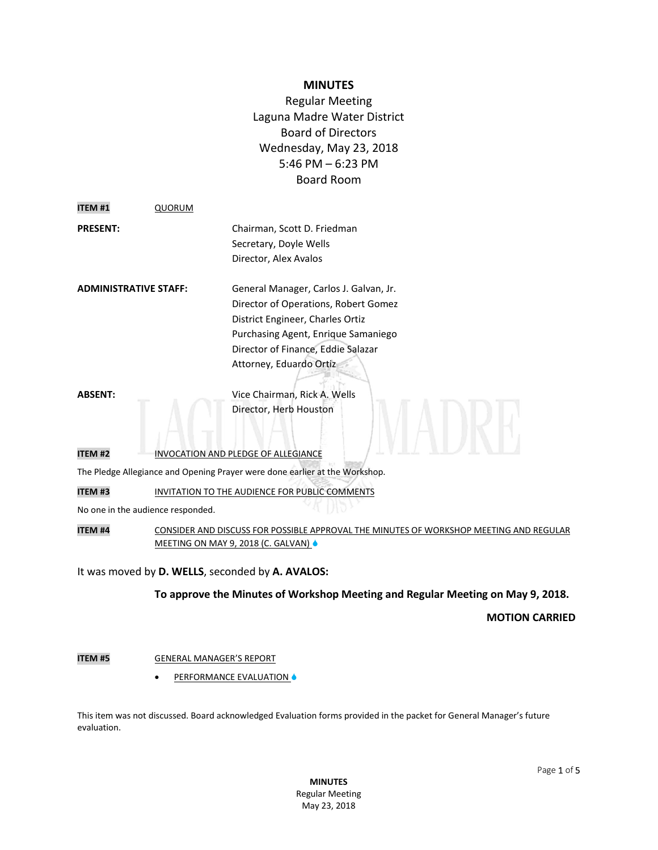# **MINUTES**

Regular Meeting Laguna Madre Water District Board of Directors Wednesday, May 23, 2018 5:46 PM – 6:23 PM Board Room

| <b>ITEM#1</b>                                                               | <b>QUORUM</b>                       |                                                                                                                                                                                                                            |
|-----------------------------------------------------------------------------|-------------------------------------|----------------------------------------------------------------------------------------------------------------------------------------------------------------------------------------------------------------------------|
| <b>PRESENT:</b>                                                             |                                     | Chairman, Scott D. Friedman<br>Secretary, Doyle Wells<br>Director, Alex Avalos                                                                                                                                             |
| ADMINISTRATIVE STAFF:                                                       |                                     | General Manager, Carlos J. Galvan, Jr.<br>Director of Operations, Robert Gomez<br>District Engineer, Charles Ortiz<br>Purchasing Agent, Enrique Samaniego<br>Director of Finance, Eddie Salazar<br>Attorney, Eduardo Ortiz |
| <b>ABSENT:</b>                                                              |                                     | Vice Chairman, Rick A. Wells<br>Director, Herb Houston                                                                                                                                                                     |
| <b>ITEM#2</b>                                                               | INVOCATION AND PLEDGE OF ALLEGIANCE |                                                                                                                                                                                                                            |
| The Pledge Allegiance and Opening Prayer were done earlier at the Workshop. |                                     |                                                                                                                                                                                                                            |
| ITEM <sub>#3</sub>                                                          |                                     | INVITATION TO THE AUDIENCE FOR PUBLIC COMMENTS                                                                                                                                                                             |
| No one in the audience responded.                                           |                                     |                                                                                                                                                                                                                            |
| <b>ITEM #4</b>                                                              |                                     | CONSIDER AND DISCUSS FOR POSSIBLE APPROVAL THE MINUTES OF WORKSHOP MEETING AND REGULAR<br>MEETING ON MAY 9, 2018 (C. GALVAN) $\triangle$                                                                                   |

It was moved by **D. WELLS**, seconded by **A. AVALOS:**

**To approve the Minutes of Workshop Meeting and Regular Meeting on May 9, 2018.** 

#### **MOTION CARRIED**

# **ITEM #5 GENERAL MANAGER'S REPORT**

**•** PERFORMANCE EVALUATION **•** 

This item was not discussed. Board acknowledged Evaluation forms provided in the packet for General Manager's future evaluation.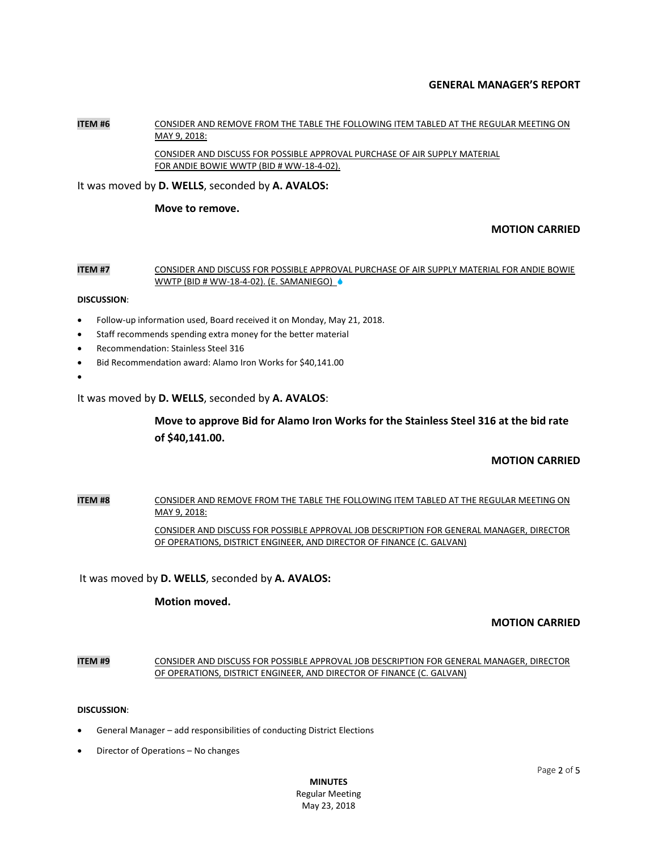## **GENERAL MANAGER'S REPORT**

#### **ITEM #6** CONSIDER AND REMOVE FROM THE TABLE THE FOLLOWING ITEM TABLED AT THE REGULAR MEETING ON MAY 9, 2018:

CONSIDER AND DISCUSS FOR POSSIBLE APPROVAL PURCHASE OF AIR SUPPLY MATERIAL FOR ANDIE BOWIE WWTP (BID # WW-18-4-02).

It was moved by **D. WELLS**, seconded by **A. AVALOS:**

#### **Move to remove.**

# **MOTION CARRIED**

#### **ITEM #7** CONSIDER AND DISCUSS FOR POSSIBLE APPROVAL PURCHASE OF AIR SUPPLY MATERIAL FOR ANDIE BOWIE WWTP (BID # WW-18-4-02). (E. SAMANIEGO)

#### **DISCUSSION**:

- Follow-up information used, Board received it on Monday, May 21, 2018.
- Staff recommends spending extra money for the better material
- Recommendation: Stainless Steel 316
- Bid Recommendation award: Alamo Iron Works for \$40,141.00
- $\bullet$

It was moved by **D. WELLS**, seconded by **A. AVALOS**:

# **Move to approve Bid for Alamo Iron Works for the Stainless Steel 316 at the bid rate of \$40,141.00.**

# **MOTION CARRIED**

# **ITEM #8** CONSIDER AND REMOVE FROM THE TABLE THE FOLLOWING ITEM TABLED AT THE REGULAR MEETING ON MAY 9, 2018: CONSIDER AND DISCUSS FOR POSSIBLE APPROVAL JOB DESCRIPTION FOR GENERAL MANAGER, DIRECTOR

OF OPERATIONS, DISTRICT ENGINEER, AND DIRECTOR OF FINANCE (C. GALVAN)

It was moved by **D. WELLS**, seconded by **A. AVALOS:**

# **Motion moved.**

# **MOTION CARRIED**

#### **ITEM #9** CONSIDER AND DISCUSS FOR POSSIBLE APPROVAL JOB DESCRIPTION FOR GENERAL MANAGER, DIRECTOR OF OPERATIONS, DISTRICT ENGINEER, AND DIRECTOR OF FINANCE (C. GALVAN)

#### **DISCUSSION**:

- General Manager add responsibilities of conducting District Elections
- Director of Operations No changes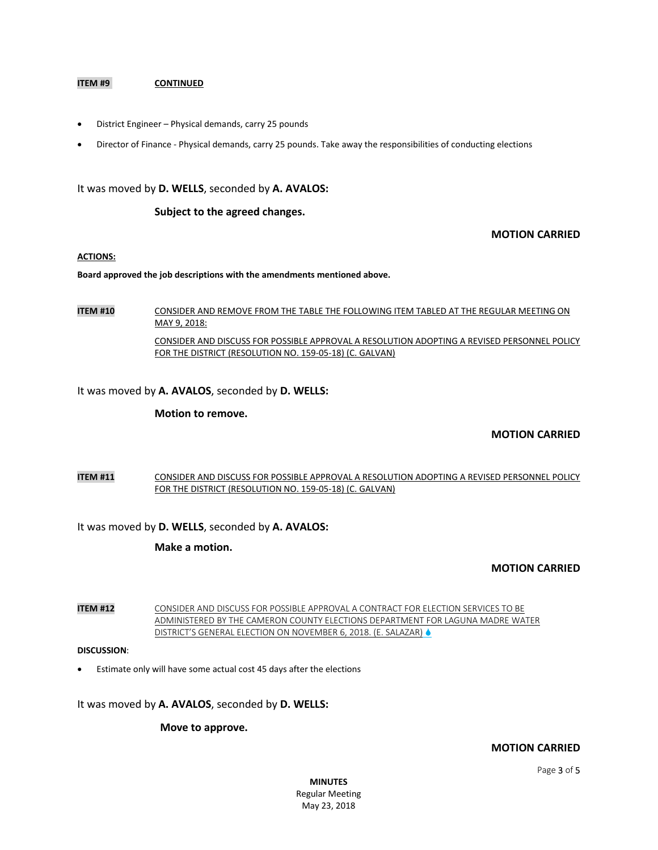#### **ITEM #9 CONTINUED**

- District Engineer Physical demands, carry 25 pounds
- Director of Finance Physical demands, carry 25 pounds. Take away the responsibilities of conducting elections

#### It was moved by **D. WELLS**, seconded by **A. AVALOS:**

#### **Subject to the agreed changes.**

#### **MOTION CARRIED**

#### **ACTIONS:**

**Board approved the job descriptions with the amendments mentioned above.** 

**ITEM #10** CONSIDER AND REMOVE FROM THE TABLE THE FOLLOWING ITEM TABLED AT THE REGULAR MEETING ON MAY 9, 2018:

CONSIDER AND DISCUSS FOR POSSIBLE APPROVAL A RESOLUTION ADOPTING A REVISED PERSONNEL POLICY FOR THE DISTRICT (RESOLUTION NO. 159-05-18) (C. GALVAN)

It was moved by **A. AVALOS**, seconded by **D. WELLS:**

#### **Motion to remove.**

#### **MOTION CARRIED**

#### **ITEM #11** CONSIDER AND DISCUSS FOR POSSIBLE APPROVAL A RESOLUTION ADOPTING A REVISED PERSONNEL POLICY FOR THE DISTRICT (RESOLUTION NO. 159-05-18) (C. GALVAN)

It was moved by **D. WELLS**, seconded by **A. AVALOS:**

**Make a motion.**

#### **MOTION CARRIED**

**ITEM #12** CONSIDER AND DISCUSS FOR POSSIBLE APPROVAL A CONTRACT FOR ELECTION SERVICES TO BE ADMINISTERED BY THE CAMERON COUNTY ELECTIONS DEPARTMENT FOR LAGUNA MADRE WATER DISTRICT'S GENERAL ELECTION ON NOVEMBER 6, 2018. (E. SALAZAR)

#### **DISCUSSION**:

Estimate only will have some actual cost 45 days after the elections

It was moved by **A. AVALOS**, seconded by **D. WELLS:**

#### **Move to approve.**

#### **MOTION CARRIED**

**MINUTES** Regular Meeting May 23, 2018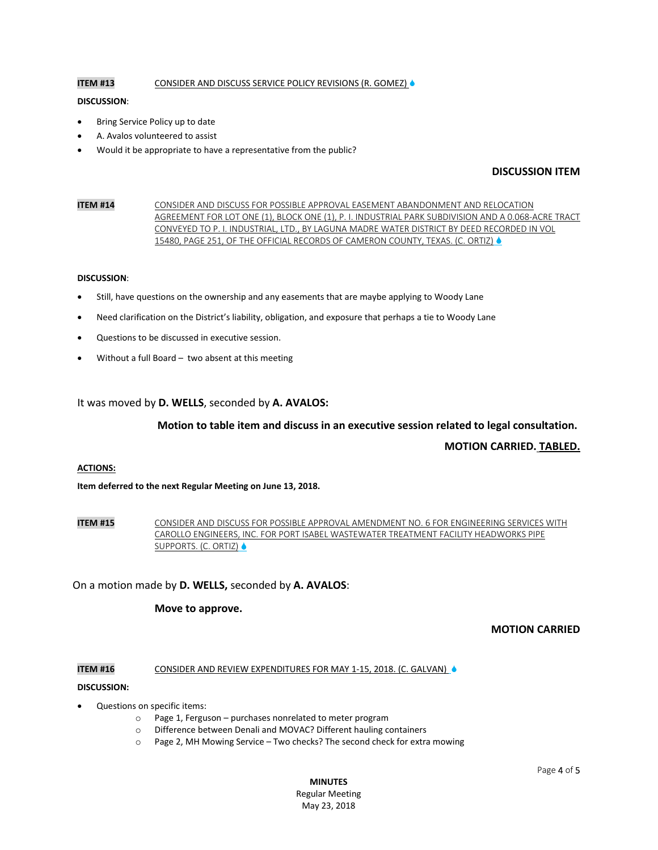### **ITEM #13** CONSIDER AND DISCUSS SERVICE POLICY REVISIONS (R. GOMEZ)

#### **DISCUSSION**:

- Bring Service Policy up to date
- A. Avalos volunteered to assist
- Would it be appropriate to have a representative from the public?

# **DISCUSSION ITEM**

**ITEM #14** CONSIDER AND DISCUSS FOR POSSIBLE APPROVAL EASEMENT ABANDONMENT AND RELOCATION AGREEMENT FOR LOT ONE (1), BLOCK ONE (1), P. I. INDUSTRIAL PARK SUBDIVISION AND A 0.068-ACRE TRACT CONVEYED TO P. I. INDUSTRIAL, LTD., BY LAGUNA MADRE WATER DISTRICT BY DEED RECORDED IN VOL 15480, PAGE 251, OF THE OFFICIAL RECORDS OF CAMERON COUNTY, TEXAS. (C. ORTIZ)  $\spadesuit$ 

#### **DISCUSSION**:

- Still, have questions on the ownership and any easements that are maybe applying to Woody Lane
- Need clarification on the District's liability, obligation, and exposure that perhaps a tie to Woody Lane
- Questions to be discussed in executive session.
- Without a full Board two absent at this meeting

#### It was moved by **D. WELLS**, seconded by **A. AVALOS:**

#### **Motion to table item and discuss in an executive session related to legal consultation.**

# **MOTION CARRIED. TABLED.**

#### **ACTIONS:**

**Item deferred to the next Regular Meeting on June 13, 2018.**

**ITEM #15** CONSIDER AND DISCUSS FOR POSSIBLE APPROVAL AMENDMENT NO. 6 FOR ENGINEERING SERVICES WITH CAROLLO ENGINEERS, INC. FOR PORT ISABEL WASTEWATER TREATMENT FACILITY HEADWORKS PIPE SUPPORTS. (C. ORTIZ)

#### On a motion made by **D. WELLS,** seconded by **A. AVALOS**:

#### **Move to approve.**

# **MOTION CARRIED**

#### **ITEM #16** CONSIDER AND REVIEW EXPENDITURES FOR MAY 1-15, 2018. (C. GALVAN)  $\bullet$

#### **DISCUSSION:**

- Questions on specific items:
	- o Page 1, Ferguson purchases nonrelated to meter program
	- o Difference between Denali and MOVAC? Different hauling containers
	- o Page 2, MH Mowing Service Two checks? The second check for extra mowing